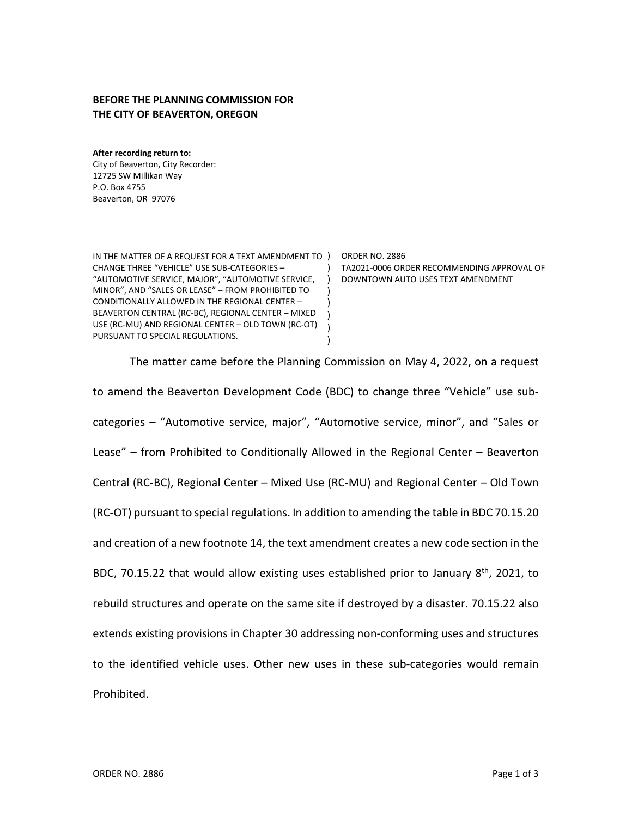## **BEFORE THE PLANNING COMMISSION FOR THE CITY OF BEAVERTON, OREGON**

**After recording return to:** City of Beaverton, City Recorder: 12725 SW Millikan Way P.O. Box 4755 Beaverton, OR 97076

IN THE MATTER OF A REQUEST FOR A TEXT AMENDMENT TO ) ORDER NO. 2886 CHANGE THREE "VEHICLE" USE SUB-CATEGORIES – "AUTOMOTIVE SERVICE, MAJOR", "AUTOMOTIVE SERVICE, ) DOWNTOWN AUTO USES TEXT AMENDMENT MINOR", AND "SALES OR LEASE" – FROM PROHIBITED TO CONDITIONALLY ALLOWED IN THE REGIONAL CENTER – BEAVERTON CENTRAL (RC-BC), REGIONAL CENTER – MIXED USE (RC-MU) AND REGIONAL CENTER – OLD TOWN (RC-OT) PURSUANT TO SPECIAL REGULATIONS.  $\lambda$ ) ) ) ) )

TA2021-0006 ORDER RECOMMENDING APPROVAL OF

The matter came before the Planning Commission on May 4, 2022, on a request to amend the Beaverton Development Code (BDC) to change three "Vehicle" use subcategories – "Automotive service, major", "Automotive service, minor", and "Sales or Lease" – from Prohibited to Conditionally Allowed in the Regional Center – Beaverton Central (RC-BC), Regional Center – Mixed Use (RC-MU) and Regional Center – Old Town (RC-OT) pursuant to special regulations. In addition to amending the table in BDC 70.15.20 and creation of a new footnote 14, the text amendment creates a new code section in the BDC, 70.15.22 that would allow existing uses established prior to January  $8<sup>th</sup>$ , 2021, to rebuild structures and operate on the same site if destroyed by a disaster. 70.15.22 also extends existing provisions in Chapter 30 addressing non-conforming uses and structures to the identified vehicle uses. Other new uses in these sub-categories would remain Prohibited.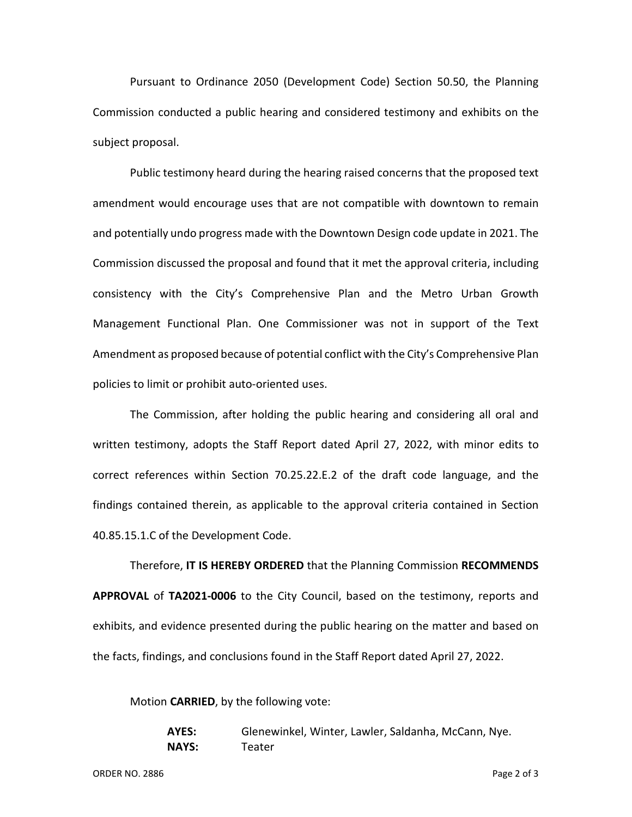Pursuant to Ordinance 2050 (Development Code) Section 50.50, the Planning Commission conducted a public hearing and considered testimony and exhibits on the subject proposal.

Public testimony heard during the hearing raised concerns that the proposed text amendment would encourage uses that are not compatible with downtown to remain and potentially undo progress made with the Downtown Design code update in 2021. The Commission discussed the proposal and found that it met the approval criteria, including consistency with the City's Comprehensive Plan and the Metro Urban Growth Management Functional Plan. One Commissioner was not in support of the Text Amendment as proposed because of potential conflict with the City's Comprehensive Plan policies to limit or prohibit auto-oriented uses.

The Commission, after holding the public hearing and considering all oral and written testimony, adopts the Staff Report dated April 27, 2022, with minor edits to correct references within Section 70.25.22.E.2 of the draft code language, and the findings contained therein, as applicable to the approval criteria contained in Section 40.85.15.1.C of the Development Code.

Therefore, **IT IS HEREBY ORDERED** that the Planning Commission **RECOMMENDS APPROVAL** of **TA2021-0006** to the City Council, based on the testimony, reports and exhibits, and evidence presented during the public hearing on the matter and based on the facts, findings, and conclusions found in the Staff Report dated April 27, 2022.

Motion **CARRIED**, by the following vote:

**AYES:** Glenewinkel, Winter, Lawler, Saldanha, McCann, Nye. **NAYS:** Teater